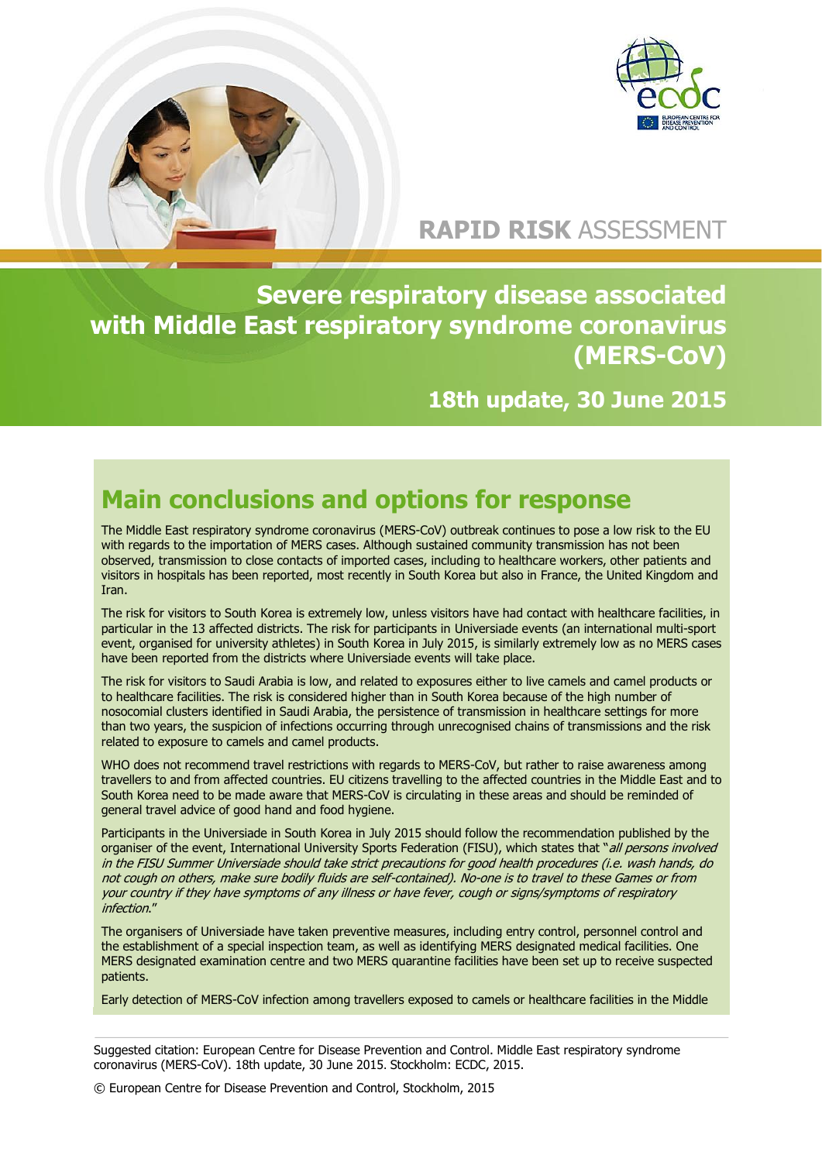

# **RAPID RISK** ASSESSMENT

**Severe respiratory disease associated with Middle East respiratory syndrome coronavirus (MERS-CoV)**

**18th update, 30 June 2015**

# **Main conclusions and options for response**

The Middle East respiratory syndrome coronavirus (MERS-CoV) outbreak continues to pose a low risk to the EU with regards to the importation of MERS cases. Although sustained community transmission has not been observed, transmission to close contacts of imported cases, including to healthcare workers, other patients and visitors in hospitals has been reported, most recently in South Korea but also in France, the United Kingdom and Iran.

The risk for visitors to South Korea is extremely low, unless visitors have had contact with healthcare facilities, in particular in the 13 affected districts. The risk for participants in Universiade events (an international multi-sport event, organised for university athletes) in South Korea in July 2015, is similarly extremely low as no MERS cases have been reported from the districts where Universiade events will take place.

The risk for visitors to Saudi Arabia is low, and related to exposures either to live camels and camel products or to healthcare facilities. The risk is considered higher than in South Korea because of the high number of nosocomial clusters identified in Saudi Arabia, the persistence of transmission in healthcare settings for more than two years, the suspicion of infections occurring through unrecognised chains of transmissions and the risk related to exposure to camels and camel products.

WHO does not recommend travel restrictions with regards to MERS-CoV, but rather to raise awareness among travellers to and from affected countries. EU citizens travelling to the affected countries in the Middle East and to South Korea need to be made aware that MERS-CoV is circulating in these areas and should be reminded of general travel advice of good hand and food hygiene.

Participants in the Universiade in South Korea in July 2015 should follow the recommendation published by the organiser of the event, International University Sports Federation (FISU), which states that "all persons involved in the FISU Summer Universiade should take strict precautions for good health procedures (i.e. wash hands, do not cough on others, make sure bodily fluids are self-contained). No-one is to travel to these Games or from your country if they have symptoms of any illness or have fever, cough or signs/symptoms of respiratory infection."

The organisers of Universiade have taken preventive measures, including entry control, personnel control and the establishment of a special inspection team, as well as identifying MERS designated medical facilities. One MERS designated examination centre and two MERS quarantine facilities have been set up to receive suspected patients.

Early detection of MERS-CoV infection among travellers exposed to camels or healthcare facilities in the Middle

Suggested citation: European Centre for Disease Prevention and Control. Middle East respiratory syndrome coronavirus (MERS-CoV). 18th update, 30 June 2015. Stockholm: ECDC, 2015.

© European Centre for Disease Prevention and Control, Stockholm, 2015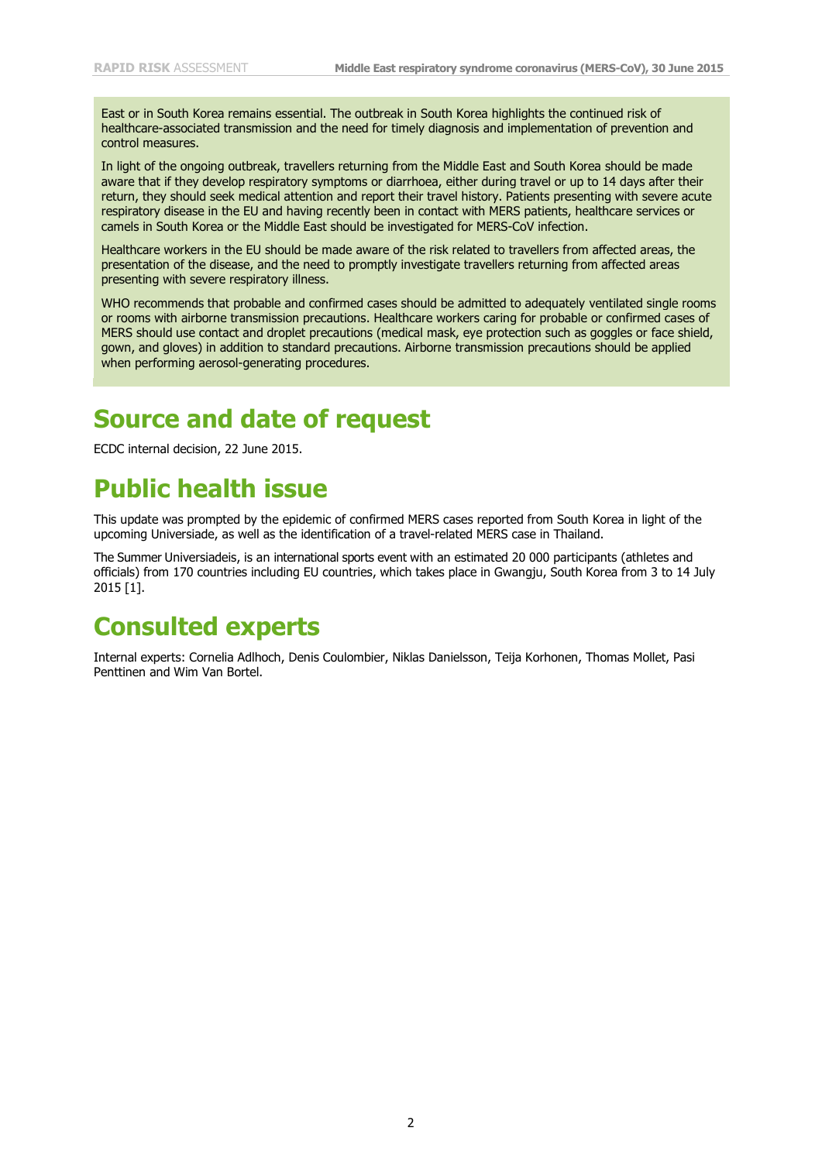East or in South Korea remains essential. The outbreak in South Korea highlights the continued risk of healthcare-associated transmission and the need for timely diagnosis and implementation of prevention and control measures.

In light of the ongoing outbreak, travellers returning from the Middle East and South Korea should be made aware that if they develop respiratory symptoms or diarrhoea, either during travel or up to 14 days after their return, they should seek medical attention and report their travel history. Patients presenting with severe acute respiratory disease in the EU and having recently been in contact with MERS patients, healthcare services or camels in South Korea or the Middle East should be investigated for MERS-CoV infection.

Healthcare workers in the EU should be made aware of the risk related to travellers from affected areas, the presentation of the disease, and the need to promptly investigate travellers returning from affected areas presenting with severe respiratory illness.

WHO recommends that probable and confirmed cases should be admitted to adequately ventilated single rooms or rooms with airborne transmission precautions. Healthcare workers caring for probable or confirmed cases of MERS should use contact and droplet precautions (medical mask, eye protection such as goggles or face shield, gown, and gloves) in addition to standard precautions. Airborne transmission precautions should be applied when performing aerosol-generating procedures.

## **Source and date of request**

ECDC internal decision, 22 June 2015.

## **Public health issue**

This update was prompted by the epidemic of confirmed MERS cases reported from South Korea in light of the upcoming Universiade, as well as the identification of a travel-related MERS case in Thailand.

The Summer Universiadeis, is an international sports event with an estimated 20 000 participants (athletes and officials) from 170 countries including EU countries, which takes place in Gwangju, South Korea from 3 to 14 July 2015 [\[1\]](#page-11-0).

### **Consulted experts**

Internal experts: Cornelia Adlhoch, Denis Coulombier, Niklas Danielsson, Teija Korhonen, Thomas Mollet, Pasi Penttinen and Wim Van Bortel.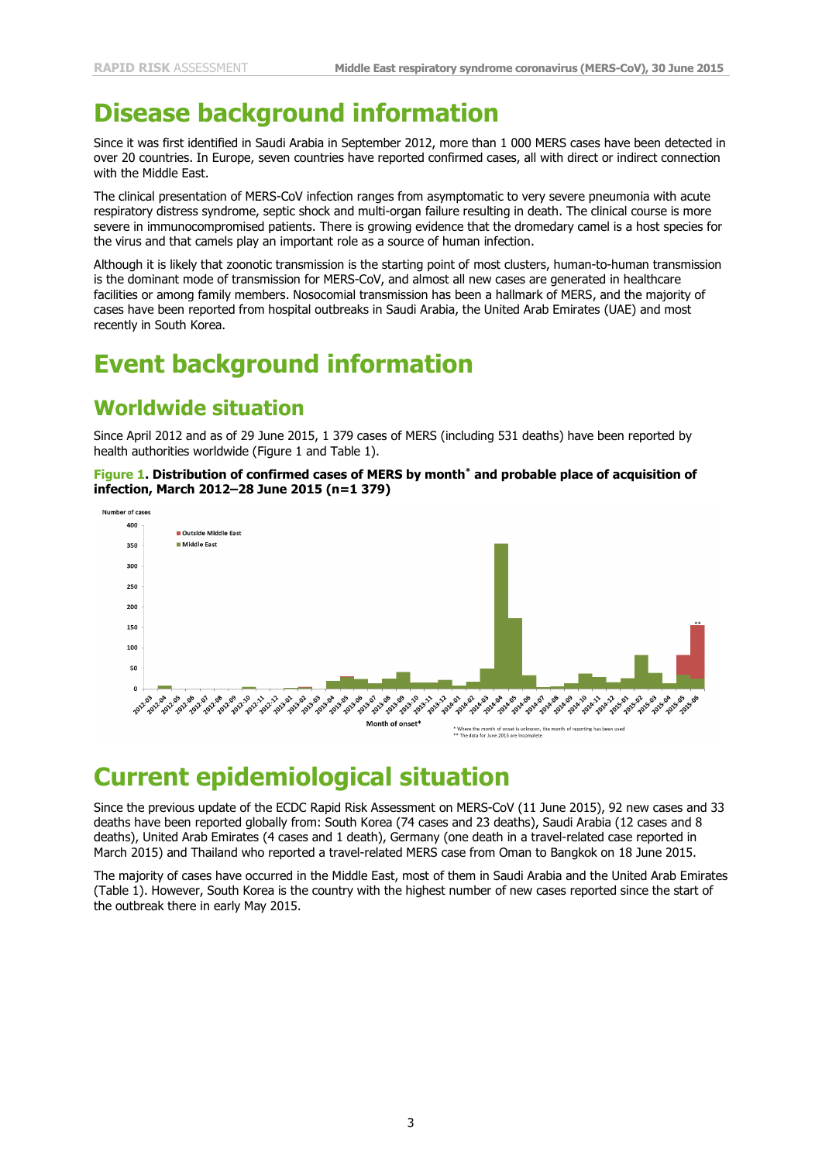# **Disease background information**

Since it was first identified in Saudi Arabia in September 2012, more than 1 000 MERS cases have been detected in over 20 countries. In Europe, seven countries have reported confirmed cases, all with direct or indirect connection with the Middle East.

The clinical presentation of MERS-CoV infection ranges from asymptomatic to very severe pneumonia with acute respiratory distress syndrome, septic shock and multi-organ failure resulting in death. The clinical course is more severe in immunocompromised patients. There is growing evidence that the dromedary camel is a host species for the virus and that camels play an important role as a source of human infection.

Although it is likely that zoonotic transmission is the starting point of most clusters, human-to-human transmission is the dominant mode of transmission for MERS-CoV, and almost all new cases are generated in healthcare facilities or among family members. Nosocomial transmission has been a hallmark of MERS, and the majority of cases have been reported from hospital outbreaks in Saudi Arabia, the United Arab Emirates (UAE) and most recently in South Korea.

# **Event background information**

### **Worldwide situation**

Since April 2012 and as of 29 June 2015, 1 379 cases of MERS (including 531 deaths) have been reported by health authorities worldwide (Figure 1 and Table 1).

**Figure 1. Distribution of confirmed cases of MERS by month\* and probable place of acquisition of infection, March 2012–28 June 2015 (n=1 379)**



# **Current epidemiological situation**

Since the previous update of the ECDC Rapid Risk Assessment on MERS-CoV (11 June 2015), 92 new cases and 33 deaths have been reported globally from: South Korea (74 cases and 23 deaths), Saudi Arabia (12 cases and 8 deaths), United Arab Emirates (4 cases and 1 death), Germany (one death in a travel-related case reported in March 2015) and Thailand who reported a travel-related MERS case from Oman to Bangkok on 18 June 2015.

The majority of cases have occurred in the Middle East, most of them in Saudi Arabia and the United Arab Emirates (Table 1). However, South Korea is the country with the highest number of new cases reported since the start of the outbreak there in early May 2015.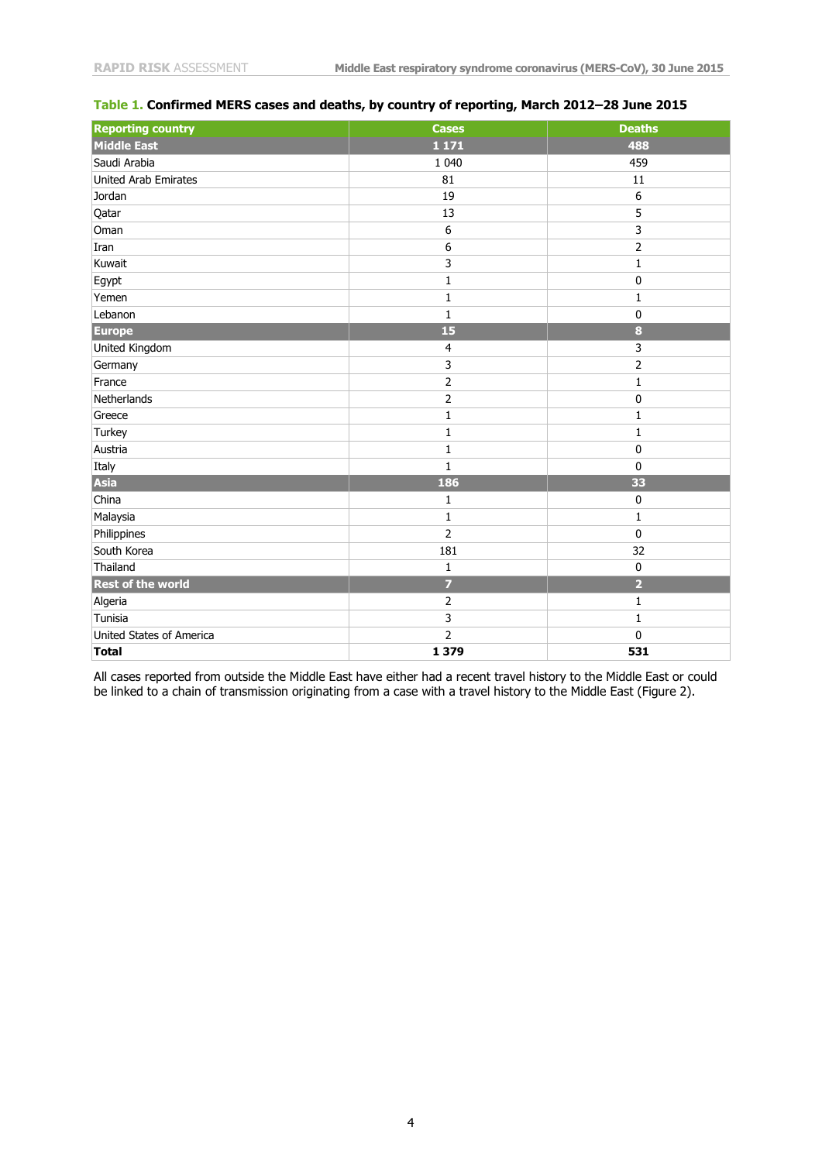| <b>Reporting country</b> | <b>Cases</b>            | <b>Deaths</b>  |
|--------------------------|-------------------------|----------------|
| <b>Middle East</b>       | 1 1 7 1                 | 488            |
| Saudi Arabia             | 1 0 4 0                 | 459            |
| United Arab Emirates     | 81                      | 11             |
| Jordan                   | 19                      | 6              |
| Qatar                    | 13                      | 5              |
| Oman                     | 6                       | 3              |
| Iran                     | $\boldsymbol{6}$        | $\overline{2}$ |
| Kuwait                   | $\mathsf{3}$            | $\mathbf{1}$   |
| Egypt                    | $\mathbf{1}$            | $\pmb{0}$      |
| Yemen                    | $\mathbf{1}$            | $\mathbf 1$    |
| Lebanon                  | $\mathbf{1}$            | $\pmb{0}$      |
| <b>Europe</b>            | 15                      | $\bf{8}$       |
| United Kingdom           | $\overline{4}$          | 3              |
| Germany                  | $\overline{\mathbf{3}}$ | $\overline{2}$ |
| France                   | $\overline{2}$          | $\mathbf 1$    |
| Netherlands              |                         | $\pmb{0}$      |
| Greece                   | $\mathbf{1}$            | 1              |
| Turkey                   | $\mathbf{1}$            | $\mathbf 1$    |
| Austria                  | $\mathbf 1$             | $\pmb{0}$      |
| Italy                    | $\mathbf{1}$            | $\pmb{0}$      |
| Asia                     | 186                     | 33             |
| China                    | $\mathbf{1}$            | $\pmb{0}$      |
| Malaysia                 | 1                       | 1              |
| Philippines              | $\overline{2}$          | $\pmb{0}$      |
| South Korea              | 181                     | 32             |
| Thailand                 | $1\,$                   | $\pmb{0}$      |
| <b>Rest of the world</b> | $\overline{7}$          | $\overline{2}$ |
| Algeria                  | $\overline{2}$          | $\mathbf{1}$   |
| Tunisia                  | 3                       | $\mathbf{1}$   |
| United States of America | $\overline{2}$          | 0              |
| <b>Total</b>             | 1 3 7 9                 | 531            |

#### **Table 1. Confirmed MERS cases and deaths, by country of reporting, March 2012–28 June 2015**

All cases reported from outside the Middle East have either had a recent travel history to the Middle East or could be linked to a chain of transmission originating from a case with a travel history to the Middle East (Figure 2).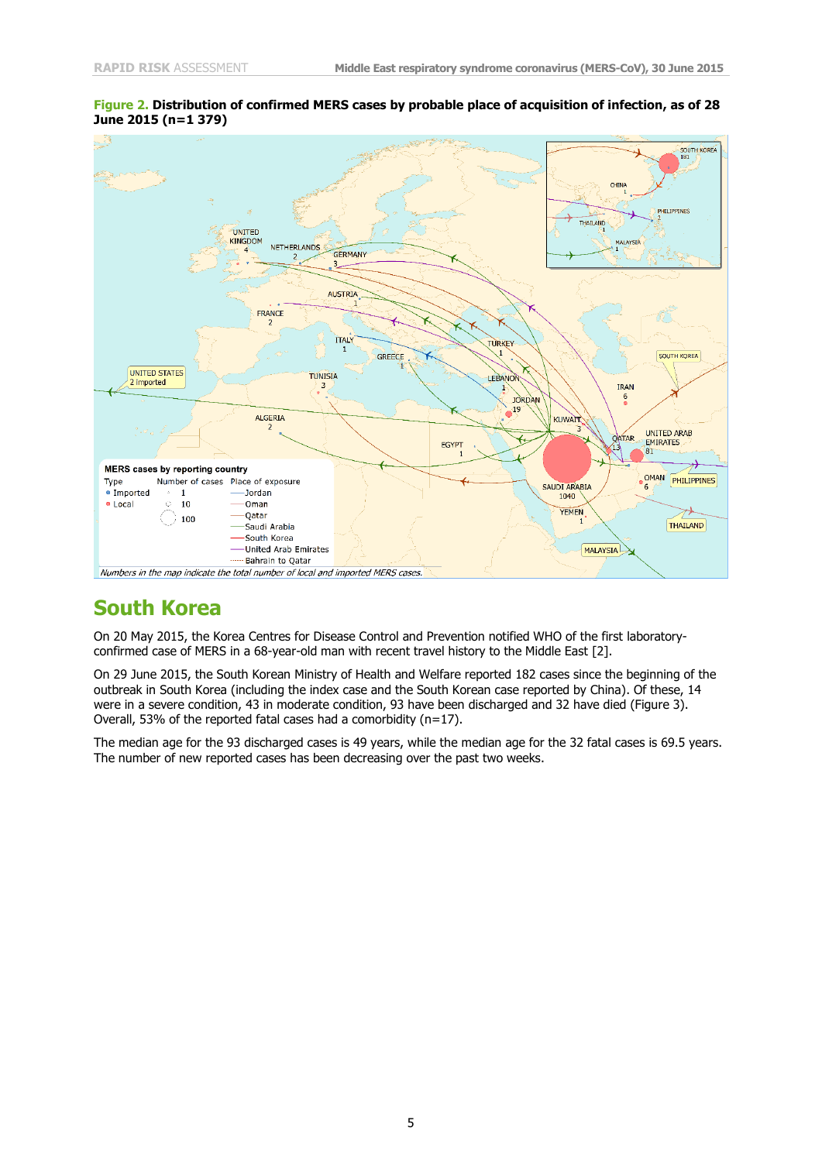

#### **Figure 2. Distribution of confirmed MERS cases by probable place of acquisition of infection, as of 28 June 2015 (n=1 379)**

#### **South Korea**

On 20 May 2015, the Korea Centres for Disease Control and Prevention notified WHO of the first laboratoryconfirmed case of MERS in a 68-year-old man with recent travel history to the Middle East [\[2\]](#page-11-1).

On 29 June 2015, the South Korean Ministry of Health and Welfare reported 182 cases since the beginning of the outbreak in South Korea (including the index case and the South Korean case reported by China). Of these, 14 were in a severe condition, 43 in moderate condition, 93 have been discharged and 32 have died (Figure 3). Overall, 53% of the reported fatal cases had a comorbidity (n=17).

The median age for the 93 discharged cases is 49 years, while the median age for the 32 fatal cases is 69.5 years. The number of new reported cases has been decreasing over the past two weeks.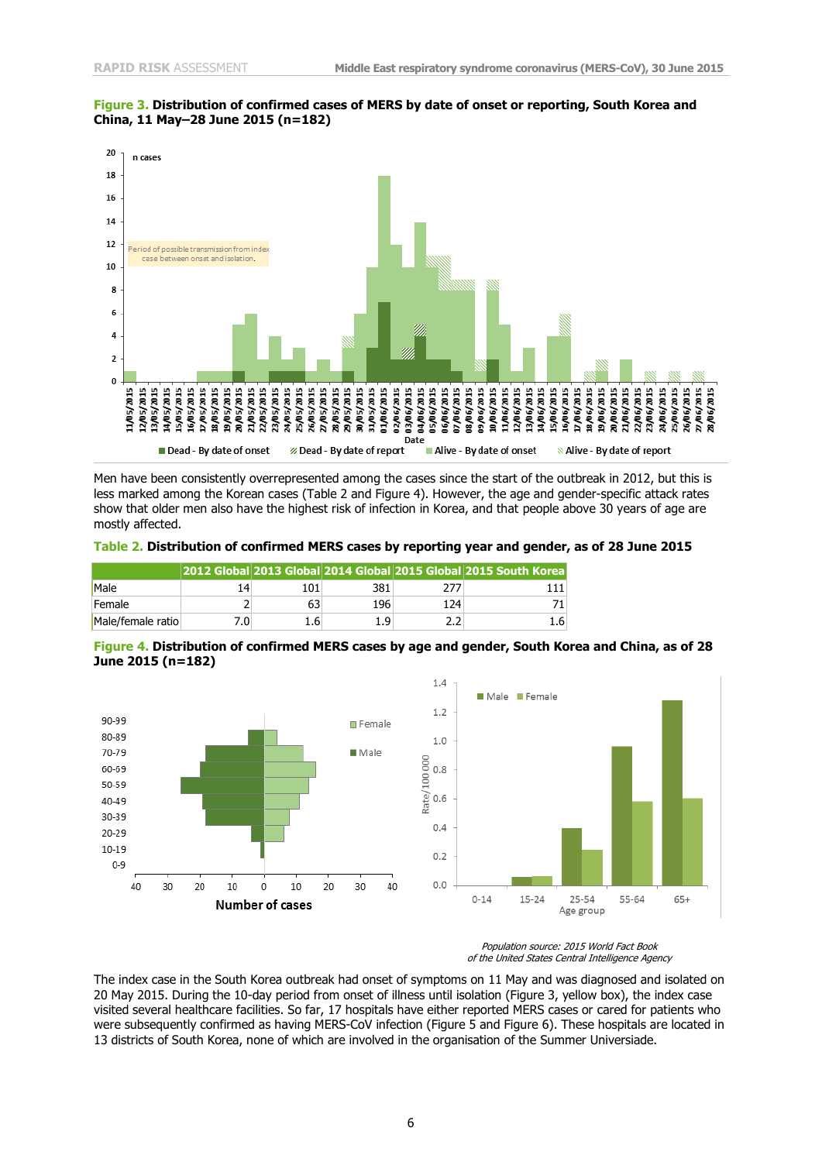

#### **Figure 3. Distribution of confirmed cases of MERS by date of onset or reporting, South Korea and China, 11 May–28 June 2015 (n=182)**

Men have been consistently overrepresented among the cases since the start of the outbreak in 2012, but this is less marked among the Korean cases (Table 2 and Figure 4). However, the age and gender-specific attack rates show that older men also have the highest risk of infection in Korea, and that people above 30 years of age are mostly affected.

**Table 2. Distribution of confirmed MERS cases by reporting year and gender, as of 28 June 2015**

|                   |      |     |     |     | 2012 Global 2013 Global 2014 Global 2015 Global 2015 South Korea |
|-------------------|------|-----|-----|-----|------------------------------------------------------------------|
| Male              | 14   | 101 | 381 |     |                                                                  |
| Female            |      |     | 196 | 124 |                                                                  |
| Male/female ratio | 7.0⊺ | 1.6 | 1.9 |     | $1.6^{\circ}$                                                    |

**Figure 4. Distribution of confirmed MERS cases by age and gender, South Korea and China, as of 28 June 2015 (n=182)**



Population source: 2015 World Fact Book of the United States Central Intelligence Agency

The index case in the South Korea outbreak had onset of symptoms on 11 May and was diagnosed and isolated on 20 May 2015. During the 10-day period from onset of illness until isolation (Figure 3, yellow box), the index case visited several healthcare facilities. So far, 17 hospitals have either reported MERS cases or cared for patients who were subsequently confirmed as having MERS-CoV infection (Figure 5 and Figure 6). These hospitals are located in 13 districts of South Korea, none of which are involved in the organisation of the Summer Universiade.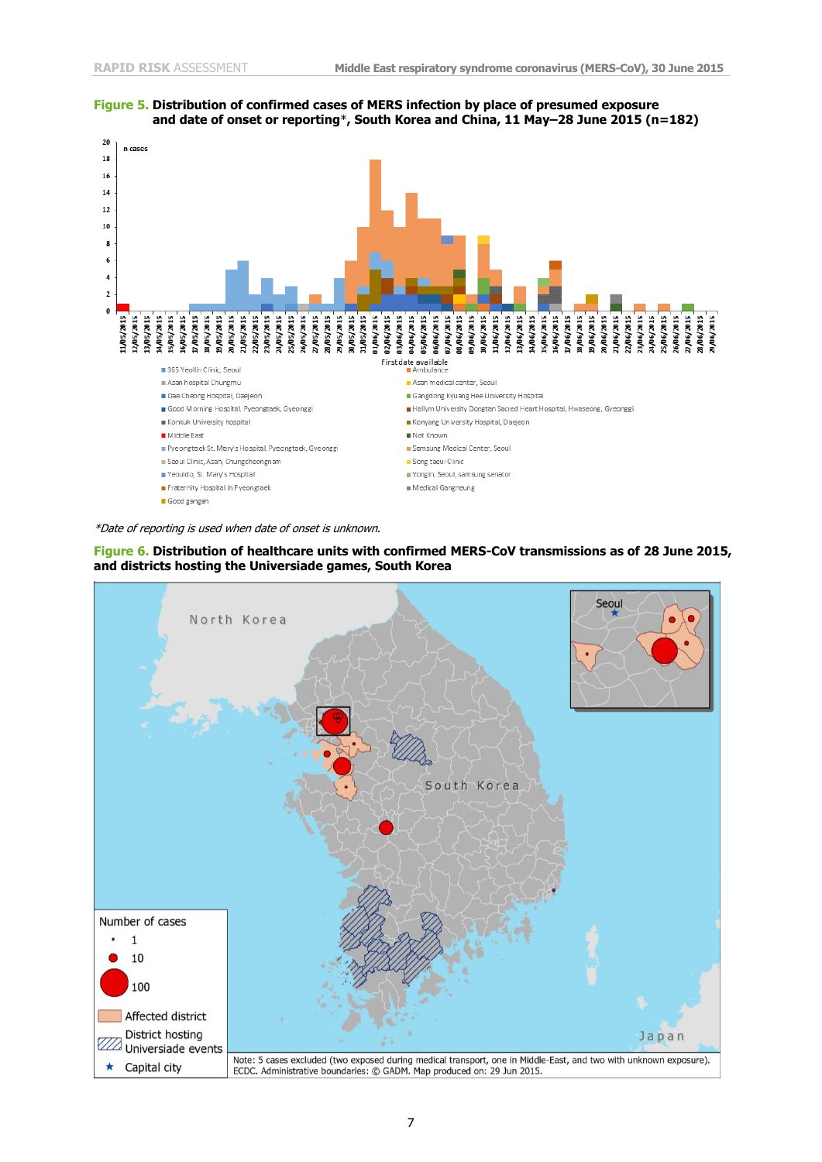



\*Date of reporting is used when date of onset is unknown.



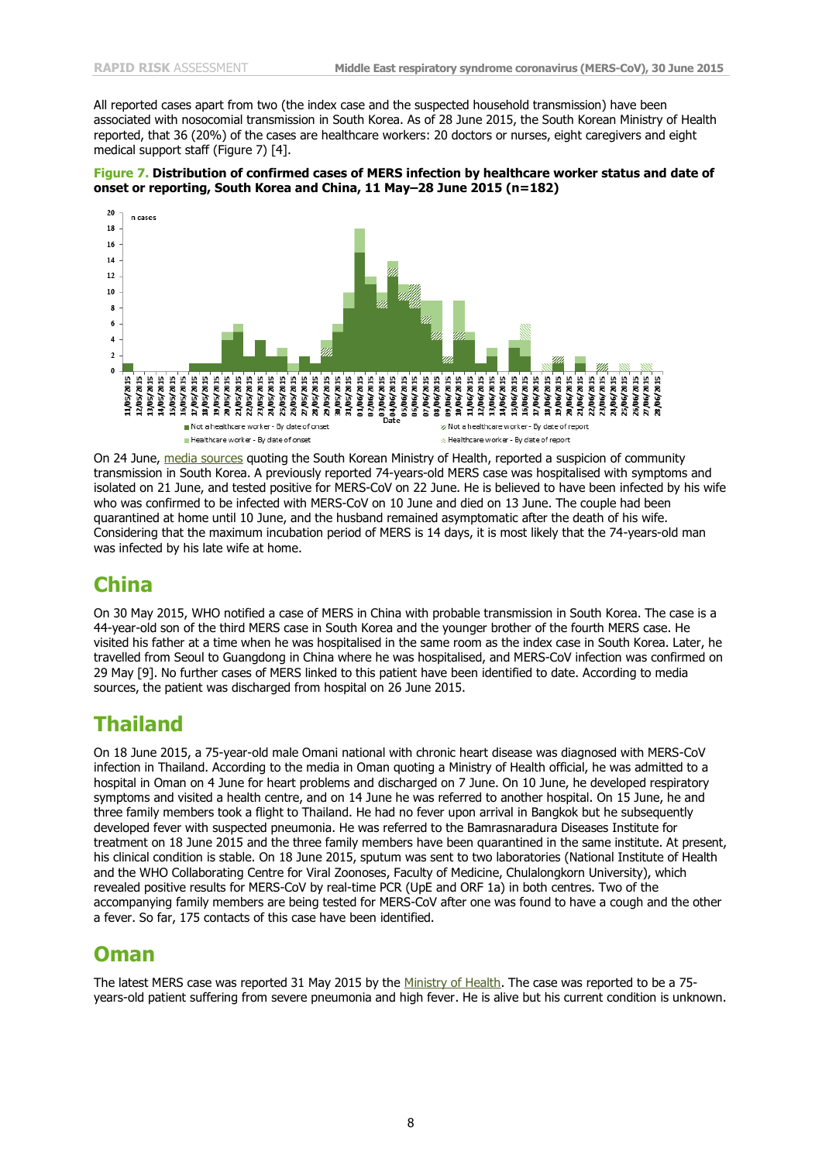All reported cases apart from two (the index case and the suspected household transmission) have been associated with nosocomial transmission in South Korea. As of 28 June 2015, the South Korean Ministry of Health reported, that 36 (20%) of the cases are healthcare workers: 20 doctors or nurses, eight caregivers and eight medical support staff (Figure 7) [\[4\]](#page-11-2).





On 24 June, [media](http://www.koreaherald.com/view.php?ud=20150624000715) sources quoting the South Korean Ministry of Health, reported a suspicion of community transmission in South Korea. A previously reported 74-years-old MERS case was hospitalised with symptoms and isolated on 21 June, and tested positive for MERS-CoV on 22 June. He is believed to have been infected by his wife who was confirmed to be infected with MERS-CoV on 10 June and died on 13 June. The couple had been quarantined at home until 10 June, and the husband remained asymptomatic after the death of his wife. Considering that the maximum incubation period of MERS is 14 days, it is most likely that the 74-years-old man was infected by his late wife at home.

#### **China**

On 30 May 2015, WHO notified a case of MERS in China with probable transmission in South Korea. The case is a 44-year-old son of the third MERS case in South Korea and the younger brother of the fourth MERS case. He visited his father at a time when he was hospitalised in the same room as the index case in South Korea. Later, he travelled from Seoul to Guangdong in China where he was hospitalised, and MERS-CoV infection was confirmed on 29 May [\[9\]](#page-11-3). No further cases of MERS linked to this patient have been identified to date. According to media sources, the patient was discharged from hospital on 26 June 2015.

#### **Thailand**

On 18 June 2015, a 75-year-old male Omani national with chronic heart disease was diagnosed with MERS-CoV infection in Thailand. According to the media in Oman quoting a Ministry of Health official, he was admitted to a hospital in Oman on 4 June for heart problems and discharged on 7 June. On 10 June, he developed respiratory symptoms and visited a health centre, and on 14 June he was referred to another hospital. On 15 June, he and three family members took a flight to Thailand. He had no fever upon arrival in Bangkok but he subsequently developed fever with suspected pneumonia. He was referred to the Bamrasnaradura Diseases Institute for treatment on 18 June 2015 and the three family members have been quarantined in the same institute. At present, his clinical condition is stable. On 18 June 2015, sputum was sent to two laboratories (National Institute of Health and the WHO Collaborating Centre for Viral Zoonoses, Faculty of Medicine, Chulalongkorn University), which revealed positive results for MERS-CoV by real-time PCR (UpE and ORF 1a) in both centres. Two of the accompanying family members are being tested for MERS-CoV after one was found to have a cough and the other a fever. So far, 175 contacts of this case have been identified.

#### **Oman**

The latest MERS case was reported 31 May 2015 by the [Ministry of Health.](https://www.moh.gov.om/en/-/--9-77) The case was reported to be a 75years-old patient suffering from severe pneumonia and high fever. He is alive but his current condition is unknown.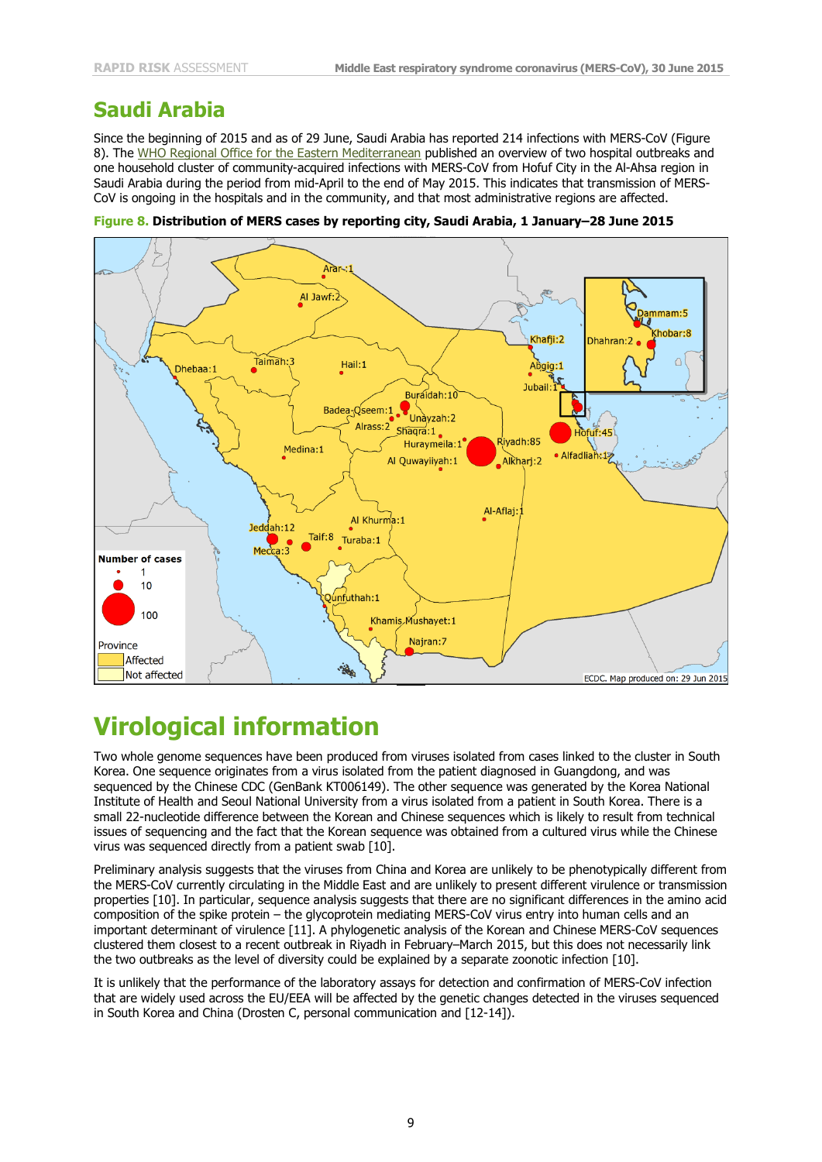### **Saudi Arabia**

Since the beginning of 2015 and as of 29 June, Saudi Arabia has reported 214 infections with MERS-CoV (Figure 8). The WHO Regional Office for the Eastern [Mediterranean](http://applications.emro.who.int/dsaf/epi/2015/Epi_Monitor_2015_8_22.pdf) published an overview of two hospital outbreaks and one household cluster of community-acquired infections with MERS-CoV from Hofuf City in the Al-Ahsa region in Saudi Arabia during the period from mid-April to the end of May 2015. This indicates that transmission of MERS-CoV is ongoing in the hospitals and in the community, and that most administrative regions are affected.



**Figure 8. Distribution of MERS cases by reporting city, Saudi Arabia, 1 January–28 June 2015**

# **Virological information**

Two whole genome sequences have been produced from viruses isolated from cases linked to the cluster in South Korea. One sequence originates from a virus isolated from the patient diagnosed in Guangdong, and was sequenced by the Chinese CDC (GenBank KT006149). The other sequence was generated by the Korea National Institute of Health and Seoul National University from a virus isolated from a patient in South Korea. There is a small 22-nucleotide difference between the Korean and Chinese sequences which is likely to result from technical issues of sequencing and the fact that the Korean sequence was obtained from a cultured virus while the Chinese virus was sequenced directly from a patient swab [\[10\]](#page-11-4).

Preliminary analysis suggests that the viruses from China and Korea are unlikely to be phenotypically different from the MERS-CoV currently circulating in the Middle East and are unlikely to present different virulence or transmission properties [\[10\]](#page-11-4). In particular, sequence analysis suggests that there are no significant differences in the amino acid composition of the spike protein – the glycoprotein mediating MERS-CoV virus entry into human cells and an important determinant of virulence [\[11\]](#page-11-5). A phylogenetic analysis of the Korean and Chinese MERS-CoV sequences clustered them closest to a recent outbreak in Riyadh in February–March 2015, but this does not necessarily link the two outbreaks as the level of diversity could be explained by a separate zoonotic infection [\[10\]](#page-11-4).

It is unlikely that the performance of the laboratory assays for detection and confirmation of MERS-CoV infection that are widely used across the EU/EEA will be affected by the genetic changes detected in the viruses sequenced in South Korea and China (Drosten C, personal communication and [\[12-14\]](#page-11-6)).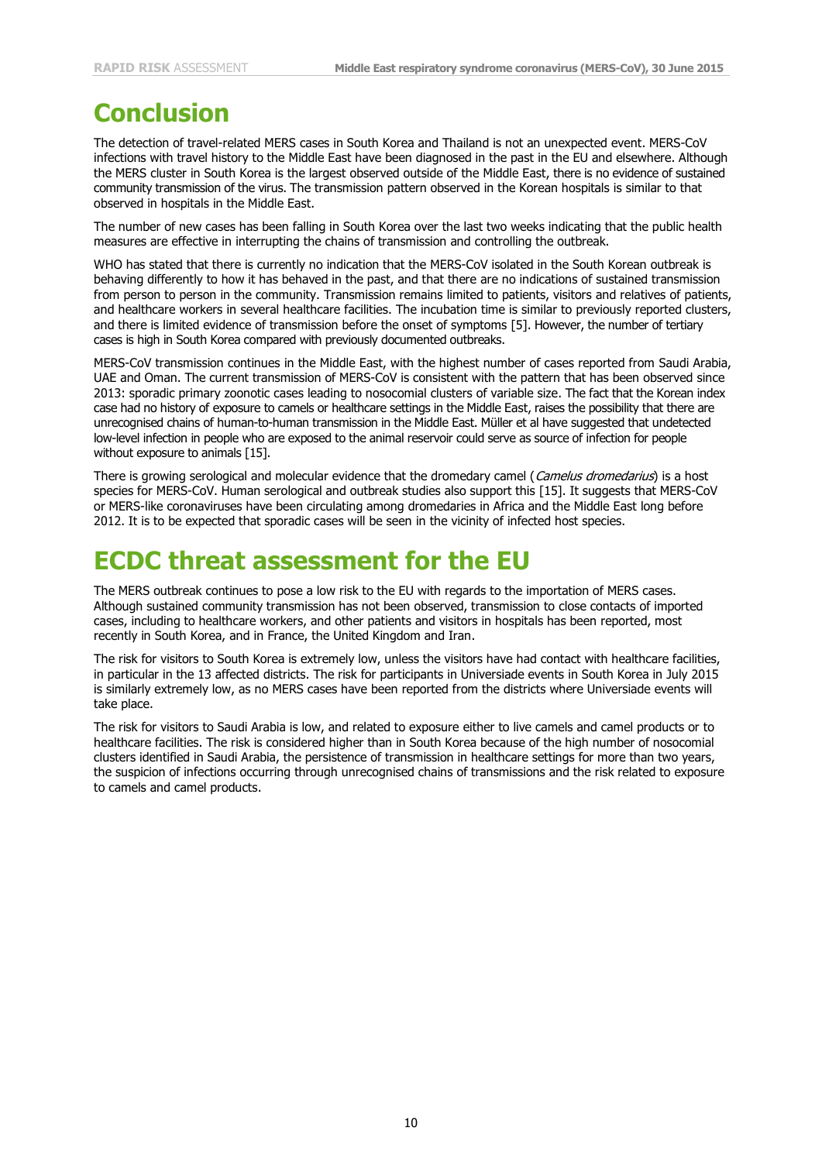# **Conclusion**

The detection of travel-related MERS cases in South Korea and Thailand is not an unexpected event. MERS-CoV infections with travel history to the Middle East have been diagnosed in the past in the EU and elsewhere. Although the MERS cluster in South Korea is the largest observed outside of the Middle East, there is no evidence of sustained community transmission of the virus. The transmission pattern observed in the Korean hospitals is similar to that observed in hospitals in the Middle East.

The number of new cases has been falling in South Korea over the last two weeks indicating that the public health measures are effective in interrupting the chains of transmission and controlling the outbreak.

WHO has stated that there is currently no indication that the MERS-CoV isolated in the South Korean outbreak is behaving differently to how it has behaved in the past, and that there are no indications of sustained transmission from person to person in the community. Transmission remains limited to patients, visitors and relatives of patients, and healthcare workers in several healthcare facilities. The incubation time is similar to previously reported clusters, and there is limited evidence of transmission before the onset of symptoms [\[5\]](#page-11-7). However, the number of tertiary cases is high in South Korea compared with previously documented outbreaks.

MERS-CoV transmission continues in the Middle East, with the highest number of cases reported from Saudi Arabia, UAE and Oman. The current transmission of MERS-CoV is consistent with the pattern that has been observed since 2013: sporadic primary zoonotic cases leading to nosocomial clusters of variable size. The fact that the Korean index case had no history of exposure to camels or healthcare settings in the Middle East, raises the possibility that there are unrecognised chains of human-to-human transmission in the Middle East. Müller et al have suggested that undetected low-level infection in people who are exposed to the animal reservoir could serve as source of infection for people without exposure to animals [\[15\]](#page-11-8).

There is growing serological and molecular evidence that the dromedary camel (Camelus dromedarius) is a host species for MERS-CoV. Human serological and outbreak studies also support this [\[15\]](#page-11-8). It suggests that MERS-CoV or MERS-like coronaviruses have been circulating among dromedaries in Africa and the Middle East long before 2012. It is to be expected that sporadic cases will be seen in the vicinity of infected host species.

## **ECDC threat assessment for the EU**

The MERS outbreak continues to pose a low risk to the EU with regards to the importation of MERS cases. Although sustained community transmission has not been observed, transmission to close contacts of imported cases, including to healthcare workers, and other patients and visitors in hospitals has been reported, most recently in South Korea, and in France, the United Kingdom and Iran.

The risk for visitors to South Korea is extremely low, unless the visitors have had contact with healthcare facilities, in particular in the 13 affected districts. The risk for participants in Universiade events in South Korea in July 2015 is similarly extremely low, as no MERS cases have been reported from the districts where Universiade events will take place.

The risk for visitors to Saudi Arabia is low, and related to exposure either to live camels and camel products or to healthcare facilities. The risk is considered higher than in South Korea because of the high number of nosocomial clusters identified in Saudi Arabia, the persistence of transmission in healthcare settings for more than two years, the suspicion of infections occurring through unrecognised chains of transmissions and the risk related to exposure to camels and camel products.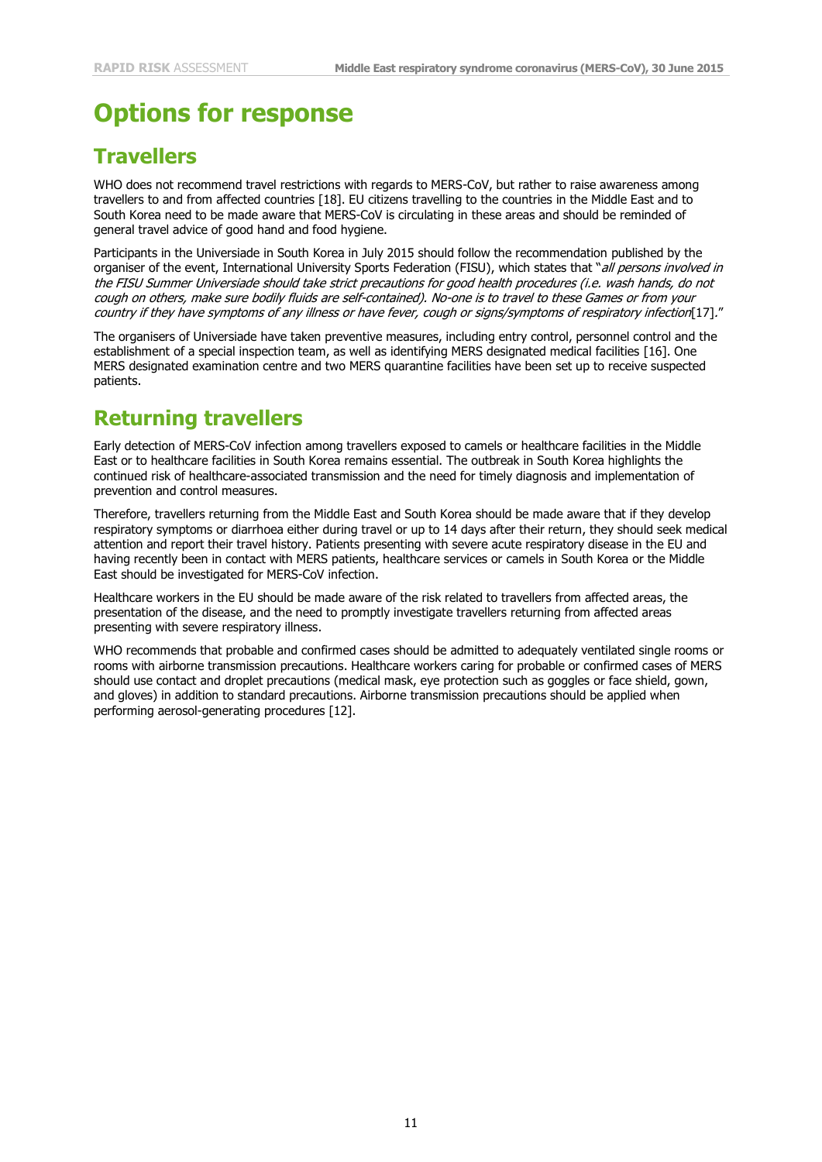# **Options for response**

### **Travellers**

WHO does not recommend travel restrictions with regards to MERS-CoV, but rather to raise awareness among travellers to and from affected countries [\[18\]](#page-11-9). EU citizens travelling to the countries in the Middle East and to South Korea need to be made aware that MERS-CoV is circulating in these areas and should be reminded of general travel advice of good hand and food hygiene.

Participants in the Universiade in South Korea in July 2015 should follow the recommendation published by the organiser of the event, International University Sports Federation (FISU), which states that "all persons involved in the FISU Summer Universiade should take strict precautions for good health procedures (i.e. wash hands, do not cough on others, make sure bodily fluids are self-contained). No-one is to travel to these Games or from your country if they have symptoms of any illness or have fever, cough or signs/symptoms of respiratory infection[\[17\]](#page-11-10)."

The organisers of Universiade have taken preventive measures, including entry control, personnel control and the establishment of a special inspection team, as well as identifying MERS designated medical facilities [\[16\]](#page-11-11). One MERS designated examination centre and two MERS quarantine facilities have been set up to receive suspected patients.

### **Returning travellers**

Early detection of MERS-CoV infection among travellers exposed to camels or healthcare facilities in the Middle East or to healthcare facilities in South Korea remains essential. The outbreak in South Korea highlights the continued risk of healthcare-associated transmission and the need for timely diagnosis and implementation of prevention and control measures.

Therefore, travellers returning from the Middle East and South Korea should be made aware that if they develop respiratory symptoms or diarrhoea either during travel or up to 14 days after their return, they should seek medical attention and report their travel history. Patients presenting with severe acute respiratory disease in the EU and having recently been in contact with MERS patients, healthcare services or camels in South Korea or the Middle East should be investigated for MERS-CoV infection.

Healthcare workers in the EU should be made aware of the risk related to travellers from affected areas, the presentation of the disease, and the need to promptly investigate travellers returning from affected areas presenting with severe respiratory illness.

WHO recommends that probable and confirmed cases should be admitted to adequately ventilated single rooms or rooms with airborne transmission precautions. Healthcare workers caring for probable or confirmed cases of MERS should use contact and droplet precautions (medical mask, eye protection such as goggles or face shield, gown, and gloves) in addition to standard precautions. Airborne transmission precautions should be applied when performing aerosol-generating procedures [12].